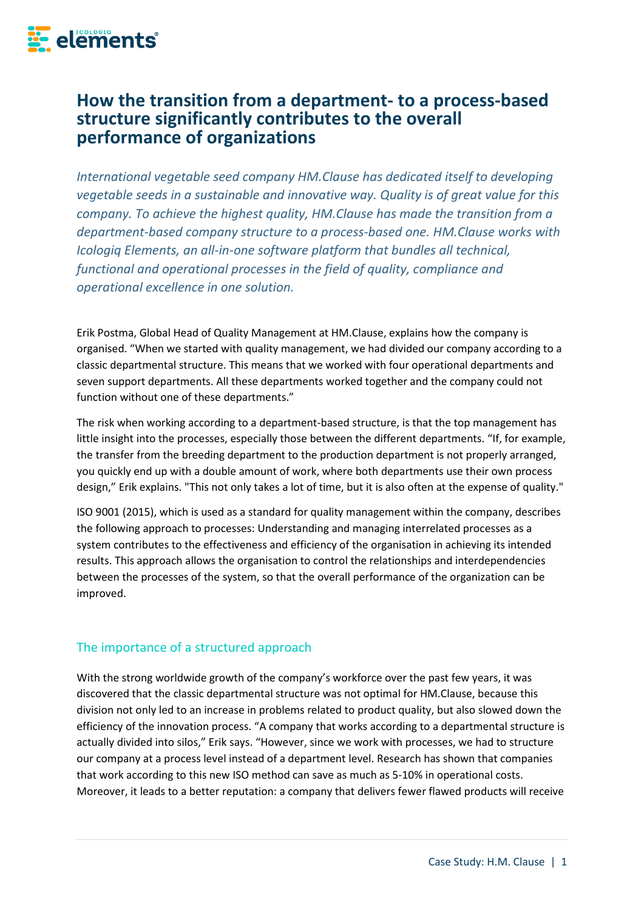

# **How the transition from a department- to a process-based structure significantly contributes to the overall performance of organizations**

*International vegetable seed company HM.Clause has dedicated itself to developing vegetable seeds in a sustainable and innovative way. Quality is of great value for this company. To achieve the highest quality, HM.Clause has made the transition from a department-based company structure to a process-based one. HM.Clause works with Icologiq Elements, an all-in-one software platform that bundles all technical, functional and operational processes in the field of quality, compliance and operational excellence in one solution.*

Erik Postma, Global Head of Quality Management at HM.Clause, explains how the company is organised. "When we started with quality management, we had divided our company according to a classic departmental structure. This means that we worked with four operational departments and seven support departments. All these departments worked together and the company could not function without one of these departments."

The risk when working according to a department-based structure, is that the top management has little insight into the processes, especially those between the different departments. "If, for example, the transfer from the breeding department to the production department is not properly arranged, you quickly end up with a double amount of work, where both departments use their own process design," Erik explains. "This not only takes a lot of time, but it is also often at the expense of quality."

ISO 9001 (2015), which is used as a standard for quality management within the company, describes the following approach to processes: Understanding and managing interrelated processes as a system contributes to the effectiveness and efficiency of the organisation in achieving its intended results. This approach allows the organisation to control the relationships and interdependencies between the processes of the system, so that the overall performance of the organization can be improved.

## The importance of a structured approach

With the strong worldwide growth of the company's workforce over the past few years, it was discovered that the classic departmental structure was not optimal for HM.Clause, because this division not only led to an increase in problems related to product quality, but also slowed down the efficiency of the innovation process. "A company that works according to a departmental structure is actually divided into silos," Erik says. "However, since we work with processes, we had to structure our company at a process level instead of a department level. Research has shown that companies that work according to this new ISO method can save as much as 5-10% in operational costs. Moreover, it leads to a better reputation: a company that delivers fewer flawed products will receive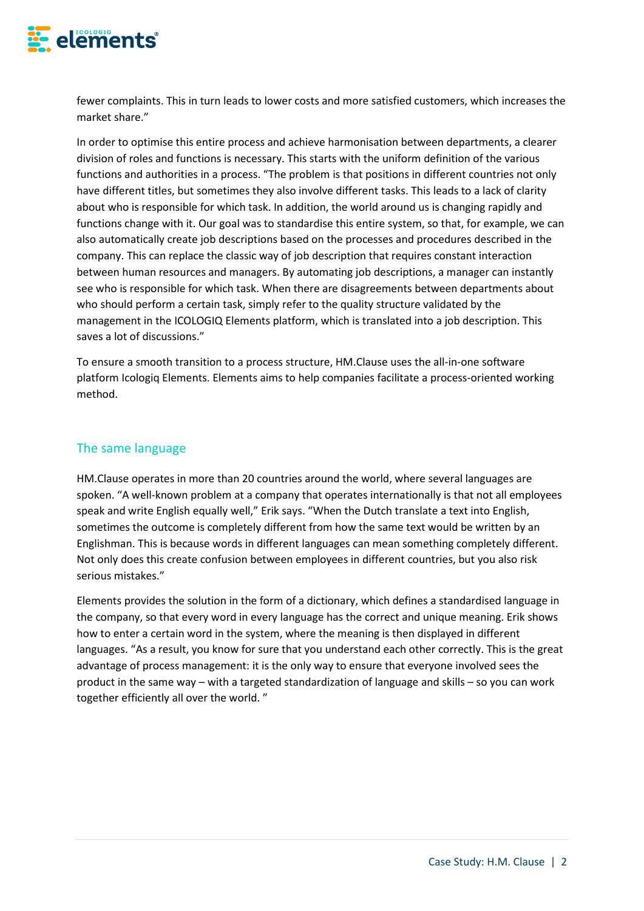

fewer complaints. This in turn leads to lower costs and more satisfied customers, which increases the market share."

In order to optimise this entire process and achieve harmonisation between departments, a clearer division of roles and functions is necessary. This starts with the uniform definition of the various functions and authorities in a process. "The problem is that positions in different countries not only have different titles, but sometimes they also involve different tasks. This leads to a lack of clarity about who is responsible for which task. In addition, the world around us is changing rapidly and functions change with it. Our goal was to standardise this entire system, so that, for example, we can also automatically create job descriptions based on the processes and procedures described in the company. This can replace the classic way of job description that requires constant interaction between human resources and managers. By automating job descriptions, a manager can instantly see who is responsible for which task. When there are disagreements between departments about who should perform a certain task, simply refer to the quality structure validated by the management in the ICOLOGIQ Elements platform, which is translated into a job description. This saves a lot of discussions."

To ensure a smooth transition to a process structure, HM.Clause uses the all-in-one software platform Icologiq Elements. Elements aims to help companies facilitate a process-oriented working method.

# The same language

HM.Clause operates in more than 20 countries around the world, where several languages are spoken. "A well-known problem at a company that operates internationally is that not all employees speak and write English equally well," Erik says. "When the Dutch translate a text into English, sometimes the outcome is completely different from how the same text would be written by an Englishman. This is because words in different languages can mean something completely different. Not only does this create confusion between employees in different countries, but you also risk serious mistakes."

Elements provides the solution in the form of a dictionary, which defines a standardised language in the company, so that every word in every language has the correct and unique meaning. Erik shows how to enter a certain word in the system, where the meaning is then displayed in different languages. "As a result, you know for sure that you understand each other correctly. This is the great advantage of process management: it is the only way to ensure that everyone involved sees the product in the same way – with a targeted standardization of language and skills – so you can work together efficiently all over the world. "